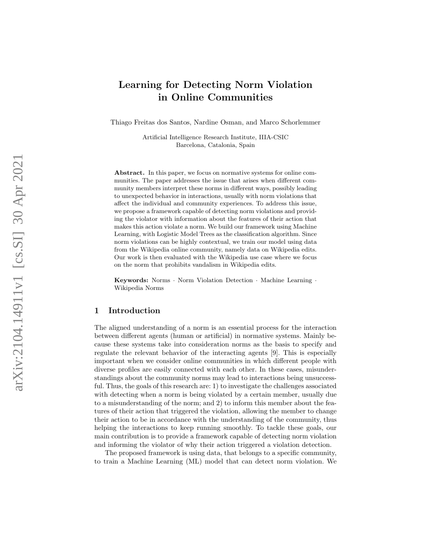# Learning for Detecting Norm Violation in Online Communities

Thiago Freitas dos Santos, Nardine Osman, and Marco Schorlemmer

Artificial Intelligence Research Institute, IIIA-CSIC Barcelona, Catalonia, Spain

Abstract. In this paper, we focus on normative systems for online communities. The paper addresses the issue that arises when different community members interpret these norms in different ways, possibly leading to unexpected behavior in interactions, usually with norm violations that affect the individual and community experiences. To address this issue, we propose a framework capable of detecting norm violations and providing the violator with information about the features of their action that makes this action violate a norm. We build our framework using Machine Learning, with Logistic Model Trees as the classification algorithm. Since norm violations can be highly contextual, we train our model using data from the Wikipedia online community, namely data on Wikipedia edits. Our work is then evaluated with the Wikipedia use case where we focus on the norm that prohibits vandalism in Wikipedia edits.

Keywords: Norms · Norm Violation Detection · Machine Learning · Wikipedia Norms

# 1 Introduction

The aligned understanding of a norm is an essential process for the interaction between different agents (human or artificial) in normative systems. Mainly because these systems take into consideration norms as the basis to specify and regulate the relevant behavior of the interacting agents [9]. This is especially important when we consider online communities in which different people with diverse profiles are easily connected with each other. In these cases, misunderstandings about the community norms may lead to interactions being unsuccessful. Thus, the goals of this research are: 1) to investigate the challenges associated with detecting when a norm is being violated by a certain member, usually due to a misunderstanding of the norm; and 2) to inform this member about the features of their action that triggered the violation, allowing the member to change their action to be in accordance with the understanding of the community, thus helping the interactions to keep running smoothly. To tackle these goals, our main contribution is to provide a framework capable of detecting norm violation and informing the violator of why their action triggered a violation detection.

The proposed framework is using data, that belongs to a specific community, to train a Machine Learning (ML) model that can detect norm violation. We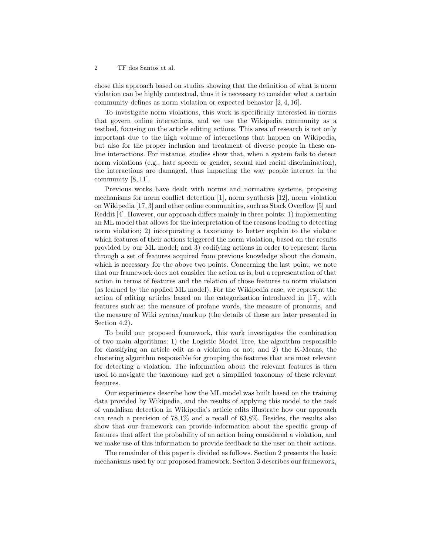chose this approach based on studies showing that the definition of what is norm violation can be highly contextual, thus it is necessary to consider what a certain community defines as norm violation or expected behavior [2, 4, 16].

To investigate norm violations, this work is specifically interested in norms that govern online interactions, and we use the Wikipedia community as a testbed, focusing on the article editing actions. This area of research is not only important due to the high volume of interactions that happen on Wikipedia, but also for the proper inclusion and treatment of diverse people in these online interactions. For instance, studies show that, when a system fails to detect norm violations (e.g., hate speech or gender, sexual and racial discrimination), the interactions are damaged, thus impacting the way people interact in the community [8, 11].

Previous works have dealt with norms and normative systems, proposing mechanisms for norm conflict detection [1], norm synthesis [12], norm violation on Wikipedia [17, 3] and other online communities, such as Stack Overflow [5] and Reddit [4]. However, our approach differs mainly in three points: 1) implementing an ML model that allows for the interpretation of the reasons leading to detecting norm violation; 2) incorporating a taxonomy to better explain to the violator which features of their actions triggered the norm violation, based on the results provided by our ML model; and 3) codifying actions in order to represent them through a set of features acquired from previous knowledge about the domain, which is necessary for the above two points. Concerning the last point, we note that our framework does not consider the action as is, but a representation of that action in terms of features and the relation of those features to norm violation (as learned by the applied ML model). For the Wikipedia case, we represent the action of editing articles based on the categorization introduced in [17], with features such as: the measure of profane words, the measure of pronouns, and the measure of Wiki syntax/markup (the details of these are later presented in Section 4.2).

To build our proposed framework, this work investigates the combination of two main algorithms: 1) the Logistic Model Tree, the algorithm responsible for classifying an article edit as a violation or not; and 2) the K-Means, the clustering algorithm responsible for grouping the features that are most relevant for detecting a violation. The information about the relevant features is then used to navigate the taxonomy and get a simplified taxonomy of these relevant features.

Our experiments describe how the ML model was built based on the training data provided by Wikipedia, and the results of applying this model to the task of vandalism detection in Wikipedia's article edits illustrate how our approach can reach a precision of 78,1% and a recall of 63,8%. Besides, the results also show that our framework can provide information about the specific group of features that affect the probability of an action being considered a violation, and we make use of this information to provide feedback to the user on their actions.

The remainder of this paper is divided as follows. Section 2 presents the basic mechanisms used by our proposed framework. Section 3 describes our framework,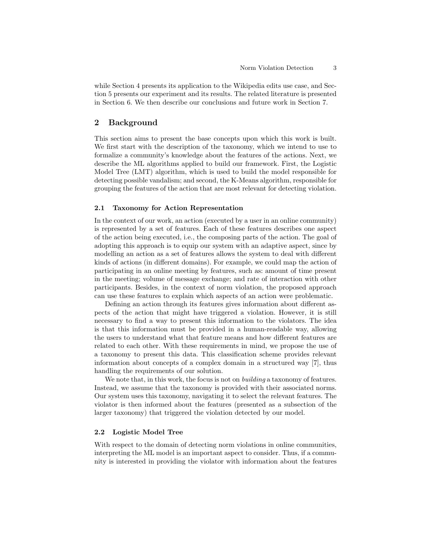while Section 4 presents its application to the Wikipedia edits use case, and Section 5 presents our experiment and its results. The related literature is presented in Section 6. We then describe our conclusions and future work in Section 7.

# 2 Background

This section aims to present the base concepts upon which this work is built. We first start with the description of the taxonomy, which we intend to use to formalize a community's knowledge about the features of the actions. Next, we describe the ML algorithms applied to build our framework. First, the Logistic Model Tree (LMT) algorithm, which is used to build the model responsible for detecting possible vandalism; and second, the K-Means algorithm, responsible for grouping the features of the action that are most relevant for detecting violation.

#### 2.1 Taxonomy for Action Representation

In the context of our work, an action (executed by a user in an online community) is represented by a set of features. Each of these features describes one aspect of the action being executed, i.e., the composing parts of the action. The goal of adopting this approach is to equip our system with an adaptive aspect, since by modelling an action as a set of features allows the system to deal with different kinds of actions (in different domains). For example, we could map the action of participating in an online meeting by features, such as: amount of time present in the meeting; volume of message exchange; and rate of interaction with other participants. Besides, in the context of norm violation, the proposed approach can use these features to explain which aspects of an action were problematic.

Defining an action through its features gives information about different aspects of the action that might have triggered a violation. However, it is still necessary to find a way to present this information to the violators. The idea is that this information must be provided in a human-readable way, allowing the users to understand what that feature means and how different features are related to each other. With these requirements in mind, we propose the use of a taxonomy to present this data. This classification scheme provides relevant information about concepts of a complex domain in a structured way [7], thus handling the requirements of our solution.

We note that, in this work, the focus is not on *building* a taxonomy of features. Instead, we assume that the taxonomy is provided with their associated norms. Our system uses this taxonomy, navigating it to select the relevant features. The violator is then informed about the features (presented as a subsection of the larger taxonomy) that triggered the violation detected by our model.

#### 2.2 Logistic Model Tree

With respect to the domain of detecting norm violations in online communities, interpreting the ML model is an important aspect to consider. Thus, if a community is interested in providing the violator with information about the features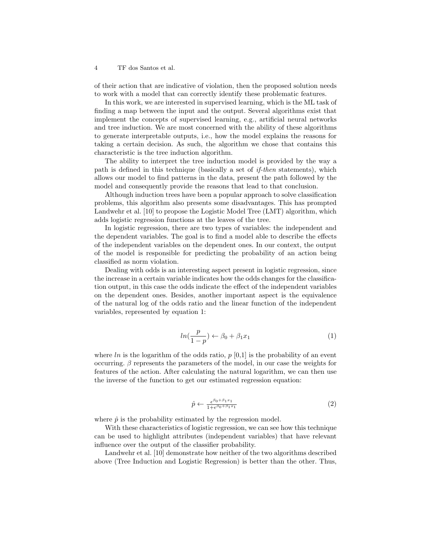of their action that are indicative of violation, then the proposed solution needs to work with a model that can correctly identify these problematic features.

In this work, we are interested in supervised learning, which is the ML task of finding a map between the input and the output. Several algorithms exist that implement the concepts of supervised learning, e.g., artificial neural networks and tree induction. We are most concerned with the ability of these algorithms to generate interpretable outputs, i.e., how the model explains the reasons for taking a certain decision. As such, the algorithm we chose that contains this characteristic is the tree induction algorithm.

The ability to interpret the tree induction model is provided by the way a path is defined in this technique (basically a set of if-then statements), which allows our model to find patterns in the data, present the path followed by the model and consequently provide the reasons that lead to that conclusion.

Although induction trees have been a popular approach to solve classification problems, this algorithm also presents some disadvantages. This has prompted Landwehr et al. [10] to propose the Logistic Model Tree (LMT) algorithm, which adds logistic regression functions at the leaves of the tree.

In logistic regression, there are two types of variables: the independent and the dependent variables. The goal is to find a model able to describe the effects of the independent variables on the dependent ones. In our context, the output of the model is responsible for predicting the probability of an action being classified as norm violation.

Dealing with odds is an interesting aspect present in logistic regression, since the increase in a certain variable indicates how the odds changes for the classification output, in this case the odds indicate the effect of the independent variables on the dependent ones. Besides, another important aspect is the equivalence of the natural log of the odds ratio and the linear function of the independent variables, represented by equation 1:

$$
ln(\frac{p}{1-p}) \leftarrow \beta_0 + \beta_1 x_1 \tag{1}
$$

where ln is the logarithm of the odds ratio,  $p$  [0,1] is the probability of an event occurring.  $\beta$  represents the parameters of the model, in our case the weights for features of the action. After calculating the natural logarithm, we can then use the inverse of the function to get our estimated regression equation:

$$
\hat{p} \leftarrow \frac{\epsilon^{\beta_0 + \beta_1 x_1}}{1 + \epsilon^{\beta_0 + \beta_1 x_1}} \tag{2}
$$

where  $\hat{p}$  is the probability estimated by the regression model.

With these characteristics of logistic regression, we can see how this technique can be used to highlight attributes (independent variables) that have relevant influence over the output of the classifier probability.

Landwehr et al. [10] demonstrate how neither of the two algorithms described above (Tree Induction and Logistic Regression) is better than the other. Thus,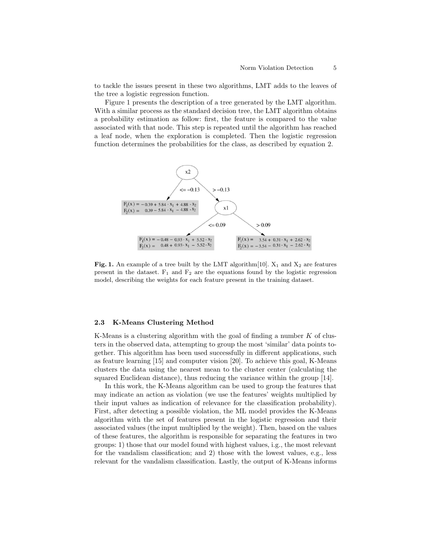to tackle the issues present in these two algorithms, LMT adds to the leaves of the tree a logistic regression function.

Figure 1 presents the description of a tree generated by the LMT algorithm. With a similar process as the standard decision tree, the LMT algorithm obtains a probability estimation as follow: first, the feature is compared to the value associated with that node. This step is repeated until the algorithm has reached a leaf node, when the exploration is completed. Then the logistic regression function determines the probabilities for the class, as described by equation 2.



Fig. 1. An example of a tree built by the LMT algorithm [10].  $X_1$  and  $X_2$  are features present in the dataset.  $F_1$  and  $F_2$  are the equations found by the logistic regression model, describing the weights for each feature present in the training dataset.

#### 2.3 K-Means Clustering Method

K-Means is a clustering algorithm with the goal of finding a number  $K$  of clusters in the observed data, attempting to group the most 'similar' data points together. This algorithm has been used successfully in different applications, such as feature learning [15] and computer vision [20]. To achieve this goal, K-Means clusters the data using the nearest mean to the cluster center (calculating the squared Euclidean distance), thus reducing the variance within the group [14].

In this work, the K-Means algorithm can be used to group the features that may indicate an action as violation (we use the features' weights multiplied by their input values as indication of relevance for the classification probability). First, after detecting a possible violation, the ML model provides the K-Means algorithm with the set of features present in the logistic regression and their associated values (the input multiplied by the weight). Then, based on the values of these features, the algorithm is responsible for separating the features in two groups: 1) those that our model found with highest values, i.g., the most relevant for the vandalism classification; and 2) those with the lowest values, e.g., less relevant for the vandalism classification. Lastly, the output of K-Means informs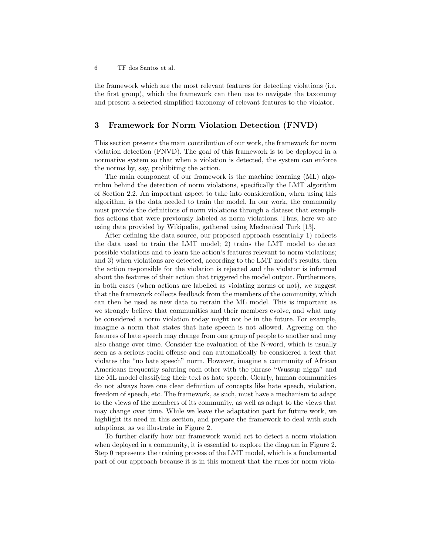the framework which are the most relevant features for detecting violations (i.e. the first group), which the framework can then use to navigate the taxonomy and present a selected simplified taxonomy of relevant features to the violator.

## 3 Framework for Norm Violation Detection (FNVD)

This section presents the main contribution of our work, the framework for norm violation detection (FNVD). The goal of this framework is to be deployed in a normative system so that when a violation is detected, the system can enforce the norms by, say, prohibiting the action.

The main component of our framework is the machine learning (ML) algorithm behind the detection of norm violations, specifically the LMT algorithm of Section 2.2. An important aspect to take into consideration, when using this algorithm, is the data needed to train the model. In our work, the community must provide the definitions of norm violations through a dataset that exemplifies actions that were previously labeled as norm violations. Thus, here we are using data provided by Wikipedia, gathered using Mechanical Turk [13].

After defining the data source, our proposed approach essentially 1) collects the data used to train the LMT model; 2) trains the LMT model to detect possible violations and to learn the action's features relevant to norm violations; and 3) when violations are detected, according to the LMT model's results, then the action responsible for the violation is rejected and the violator is informed about the features of their action that triggered the model output. Furthermore, in both cases (when actions are labelled as violating norms or not), we suggest that the framework collects feedback from the members of the community, which can then be used as new data to retrain the ML model. This is important as we strongly believe that communities and their members evolve, and what may be considered a norm violation today might not be in the future. For example, imagine a norm that states that hate speech is not allowed. Agreeing on the features of hate speech may change from one group of people to another and may also change over time. Consider the evaluation of the N-word, which is usually seen as a serious racial offense and can automatically be considered a text that violates the "no hate speech" norm. However, imagine a community of African Americans frequently saluting each other with the phrase "Wussup nigga" and the ML model classifying their text as hate speech. Clearly, human communities do not always have one clear definition of concepts like hate speech, violation, freedom of speech, etc. The framework, as such, must have a mechanism to adapt to the views of the members of its community, as well as adapt to the views that may change over time. While we leave the adaptation part for future work, we highlight its need in this section, and prepare the framework to deal with such adaptions, as we illustrate in Figure 2.

To further clarify how our framework would act to detect a norm violation when deployed in a community, it is essential to explore the diagram in Figure 2. Step 0 represents the training process of the LMT model, which is a fundamental part of our approach because it is in this moment that the rules for norm viola-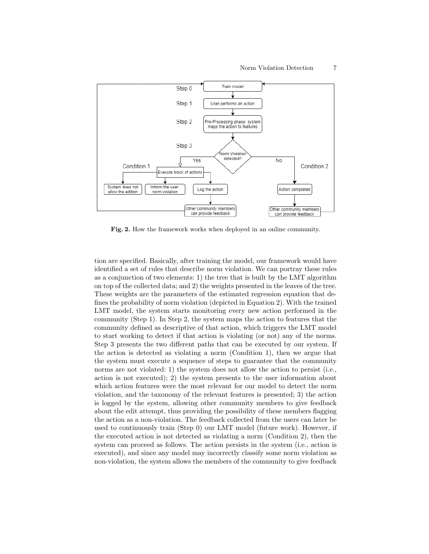

Fig. 2. How the framework works when deployed in an online community.

tion are specified. Basically, after training the model, our framework would have identified a set of rules that describe norm violation. We can portray these rules as a conjunction of two elements: 1) the tree that is built by the LMT algorithm on top of the collected data; and 2) the weights presented in the leaves of the tree. These weights are the parameters of the estimated regression equation that defines the probability of norm violation (depicted in Equation 2). With the trained LMT model, the system starts monitoring every new action performed in the community (Step 1). In Step 2, the system maps the action to features that the community defined as descriptive of that action, which triggers the LMT model to start working to detect if that action is violating (or not) any of the norms. Step 3 presents the two different paths that can be executed by our system. If the action is detected as violating a norm (Condition 1), then we argue that the system must execute a sequence of steps to guarantee that the community norms are not violated: 1) the system does not allow the action to persist (i.e., action is not executed); 2) the system presents to the user information about which action features were the most relevant for our model to detect the norm violation, and the taxonomy of the relevant features is presented; 3) the action is logged by the system, allowing other community members to give feedback about the edit attempt, thus providing the possibility of these members flagging the action as a non-violation. The feedback collected from the users can later be used to continuously train (Step 0) our LMT model (future work). However, if the executed action is not detected as violating a norm (Condition 2), then the system can proceed as follows. The action persists in the system (i.e., action is executed), and since any model may incorrectly classify some norm violation as non-violation, the system allows the members of the community to give feedback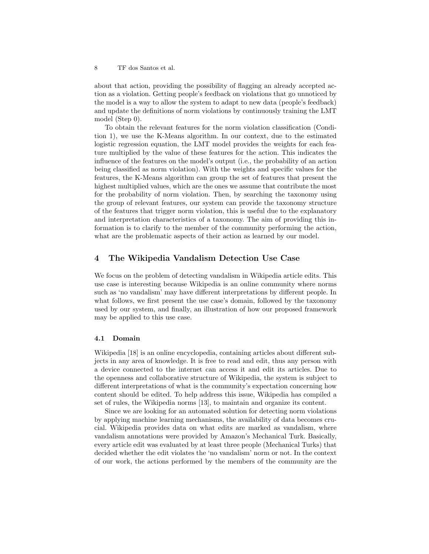about that action, providing the possibility of flagging an already accepted action as a violation. Getting people's feedback on violations that go unnoticed by the model is a way to allow the system to adapt to new data (people's feedback) and update the definitions of norm violations by continuously training the LMT model (Step 0).

To obtain the relevant features for the norm violation classification (Condition 1), we use the K-Means algorithm. In our context, due to the estimated logistic regression equation, the LMT model provides the weights for each feature multiplied by the value of these features for the action. This indicates the influence of the features on the model's output (i.e., the probability of an action being classified as norm violation). With the weights and specific values for the features, the K-Means algorithm can group the set of features that present the highest multiplied values, which are the ones we assume that contribute the most for the probability of norm violation. Then, by searching the taxonomy using the group of relevant features, our system can provide the taxonomy structure of the features that trigger norm violation, this is useful due to the explanatory and interpretation characteristics of a taxonomy. The aim of providing this information is to clarify to the member of the community performing the action, what are the problematic aspects of their action as learned by our model.

## 4 The Wikipedia Vandalism Detection Use Case

We focus on the problem of detecting vandalism in Wikipedia article edits. This use case is interesting because Wikipedia is an online community where norms such as 'no vandalism' may have different interpretations by different people. In what follows, we first present the use case's domain, followed by the taxonomy used by our system, and finally, an illustration of how our proposed framework may be applied to this use case.

#### 4.1 Domain

Wikipedia [18] is an online encyclopedia, containing articles about different subjects in any area of knowledge. It is free to read and edit, thus any person with a device connected to the internet can access it and edit its articles. Due to the openness and collaborative structure of Wikipedia, the system is subject to different interpretations of what is the community's expectation concerning how content should be edited. To help address this issue, Wikipedia has compiled a set of rules, the Wikipedia norms [13], to maintain and organize its content.

Since we are looking for an automated solution for detecting norm violations by applying machine learning mechanisms, the availability of data becomes crucial. Wikipedia provides data on what edits are marked as vandalism, where vandalism annotations were provided by Amazon's Mechanical Turk. Basically, every article edit was evaluated by at least three people (Mechanical Turks) that decided whether the edit violates the 'no vandalism' norm or not. In the context of our work, the actions performed by the members of the community are the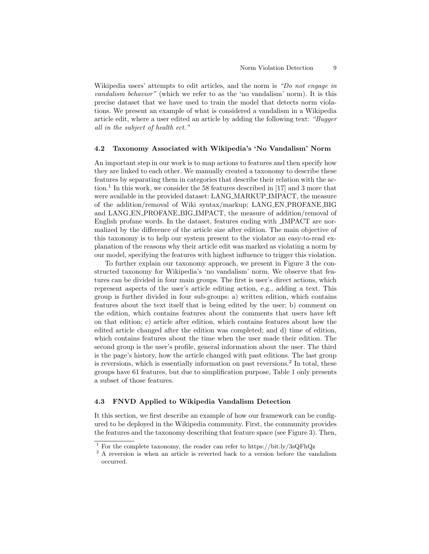Wikipedia users' attempts to edit articles, and the norm is "Do not engage in vandalism behavior" (which we refer to as the 'no vandalism' norm). It is this precise dataset that we have used to train the model that detects norm violations. We present an example of what is considered a vandalism in a Wikipedia article edit, where a user edited an article by adding the following text: "Bugger all in the subject of health ect."

#### 4.2 Taxonomy Associated with Wikipedia's 'No Vandalism' Norm

An important step in our work is to map actions to features and then specify how they are linked to each other. We manually created a taxonomy to describe these features by separating them in categories that describe their relation with the action.<sup>1</sup> In this work, we consider the 58 features described in [17] and 3 more that were available in the provided dataset: LANG MARKUP IMPACT, the measure of the addition/removal of Wiki syntax/markup; LANG EN PROFANE BIG and LANG EN PROFANE BIG IMPACT, the measure of addition/removal of English profane words. In the dataset, features ending with IMPACT are normalized by the difference of the article size after edition. The main objective of this taxonomy is to help our system present to the violator an easy-to-read explanation of the reasons why their article edit was marked as violating a norm by our model, specifying the features with highest influence to trigger this violation.

To further explain our taxonomy approach, we present in Figure 3 the constructed taxonomy for Wikipedia's 'no vandalism' norm. We observe that features can be divided in four main groups. The first is user's direct actions, which represent aspects of the user's article editing action, e.g., adding a text. This group is further divided in four sub-groups: a) written edition, which contains features about the text itself that is being edited by the user; b) comment on the edition, which contains features about the comments that users have left on that edition; c) article after edition, which contains features about how the edited article changed after the edition was completed; and d) time of edition, which contains features about the time when the user made their edition. The second group is the user's profile, general information about the user. The third is the page's history, how the article changed with past editions. The last group is reversions, which is essentially information on past reversions.<sup>2</sup> In total, these groups have 61 features, but due to simplification purpose, Table 1 only presents a subset of those features.

#### 4.3 FNVD Applied to Wikipedia Vandalism Detection

It this section, we first describe an example of how our framework can be configured to be deployed in the Wikipedia community. First, the community provides the features and the taxonomy describing that feature space (see Figure 3). Then,

<sup>&</sup>lt;sup>1</sup> For the complete taxonomy, the reader can refer to https://bit.ly/3sQFhQz

<sup>&</sup>lt;sup>2</sup> A reversion is when an article is reverted back to a version before the vandalism occurred.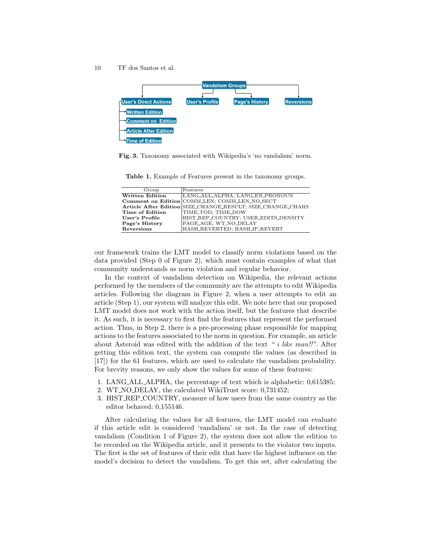

Fig. 3. Taxonomy associated with Wikipedia's 'no vandalism' norm.

Table 1. Example of Features present in the taxonomy groups.

| Group                  | $_{\rm i}$ Features                                         |
|------------------------|-------------------------------------------------------------|
| <b>Written Edition</b> | LANG_ALL_ALPHA; LANG_EN_PRONOUN                             |
|                        | Comment on Edition COMM_LEN; COMM_LEN_NO_SECT               |
|                        | Article After Edition SIZE_CHANGE_RESULT; SIZE_CHANGE_CHARS |
| Time of Edition        | TIME_TOD; TIME_DOW                                          |
| User's Profile         | HIST_REP_COUNTRY; USER_EDITS_DENSITY                        |
| Page's History         | PAGE_AGE; WT_NO_DELAY                                       |
| Reversions             | HASH_REVERTED; HASH_IP_REVERT                               |

our framework trains the LMT model to classify norm violations based on the data provided (Step 0 of Figure 2), which must contain examples of what that community understands as norm violation and regular behavior.

In the context of vandalism detection on Wikipedia, the relevant actions performed by the members of the community are the attempts to edit Wikipedia articles. Following the diagram in Figure 2, when a user attempts to edit an article (Step 1), our system will analyze this edit. We note here that our proposed LMT model does not work with the action itself, but the features that describe it. As such, it is necessary to first find the features that represent the performed action. Thus, in Step 2, there is a pre-processing phase responsible for mapping actions to the features associated to the norm in question. For example, an article about Asteroid was edited with the addition of the text " i like man!!". After getting this edition text, the system can compute the values (as described in [17]) for the 61 features, which are used to calculate the vandalism probability. For brevity reasons, we only show the values for some of these features:

- 1. LANG ALL ALPHA, the percentage of text which is alphabetic: 0,615385;
- 2. WT NO DELAY, the calculated WikiTrust score: 0,731452;
- 3. HIST REP COUNTRY, measure of how users from the same country as the editor behaved: 0,155146.

After calculating the values for all features, the LMT model can evaluate if this article edit is considered 'vandalism' or not. In the case of detecting vandalism (Condition 1 of Figure 2), the system does not allow the edition to be recorded on the Wikipedia article, and it presents to the violator two inputs. The first is the set of features of their edit that have the highest influence on the model's decision to detect the vandalism. To get this set, after calculating the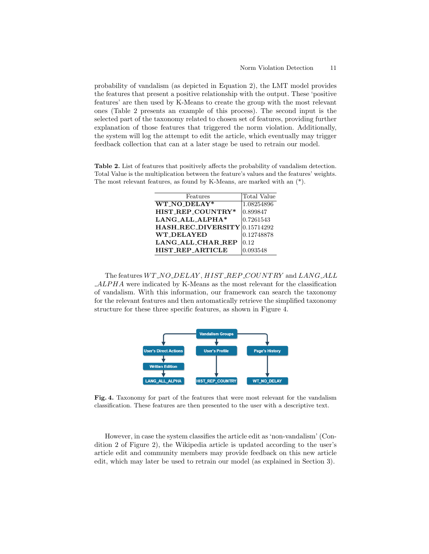probability of vandalism (as depicted in Equation 2), the LMT model provides the features that present a positive relationship with the output. These 'positive features' are then used by K-Means to create the group with the most relevant ones (Table 2 presents an example of this process). The second input is the selected part of the taxonomy related to chosen set of features, providing further explanation of those features that triggered the norm violation. Additionally, the system will log the attempt to edit the article, which eventually may trigger feedback collection that can at a later stage be used to retrain our model.

Table 2. List of features that positively affects the probability of vandalism detection. Total Value is the multiplication between the feature's values and the features' weights. The most relevant features, as found by K-Means, are marked with an (\*).

| Features                      | Total Value |
|-------------------------------|-------------|
| WT NO DELAY*                  | 1.08254896  |
| HIST_REP_COUNTRY*             | 0.899847    |
| LANG_ALL_ALPHA*               | 0.7261543   |
| HASH_REC_DIVERSITY 0.15714292 |             |
| <b>WT_DELAYED</b>             | 0.12748878  |
| LANG_ALL_CHAR_REP             | 0.12        |
| <b>HIST REP ARTICLE</b>       | 0.093548    |
|                               |             |

The features WT\_NO\_DELAY, HIST\_REP\_COUNTRY and LANG\_ALL  $\angle ALPHA$  were indicated by K-Means as the most relevant for the classification of vandalism. With this information, our framework can search the taxonomy for the relevant features and then automatically retrieve the simplified taxonomy structure for these three specific features, as shown in Figure 4.



Fig. 4. Taxonomy for part of the features that were most relevant for the vandalism classification. These features are then presented to the user with a descriptive text.

However, in case the system classifies the article edit as 'non-vandalism' (Condition 2 of Figure 2), the Wikipedia article is updated according to the user's article edit and community members may provide feedback on this new article edit, which may later be used to retrain our model (as explained in Section 3).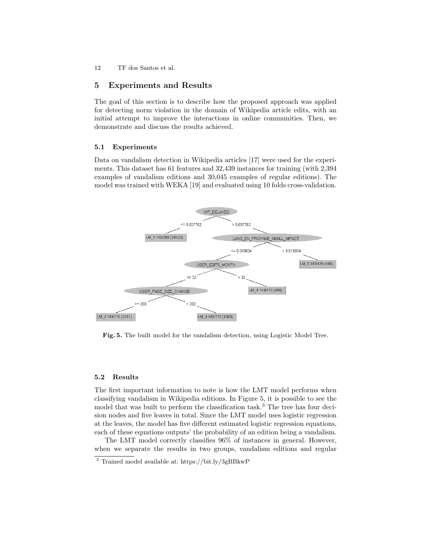## 5 Experiments and Results

The goal of this section is to describe how the proposed approach was applied for detecting norm violation in the domain of Wikipedia article edits, with an initial attempt to improve the interactions in online communities. Then, we demonstrate and discuss the results achieved.

#### 5.1 Experiments

Data on vandalism detection in Wikipedia articles [17] were used for the experiments. This dataset has 61 features and 32,439 instances for training (with 2,394 examples of vandalism editions and 30,045 examples of regular editions). The model was trained with WEKA [19] and evaluated using 10 folds cross-validation.



Fig. 5. The built model for the vandalism detection, using Logistic Model Tree.

#### 5.2 Results

The first important information to note is how the LMT model performs when classifying vandalism in Wikipedia editions. In Figure 5, it is possible to see the model that was built to perform the classification task.<sup>3</sup> The tree has four decision nodes and five leaves in total. Since the LMT model uses logistic regression at the leaves, the model has five different estimated logistic regression equations, each of these equations outputs' the probability of an edition being a vandalism.

The LMT model correctly classifies 96% of instances in general. However, when we separate the results in two groups, vandalism editions and regular

<sup>3</sup> Trained model available at: https://bit.ly/3gBBkwP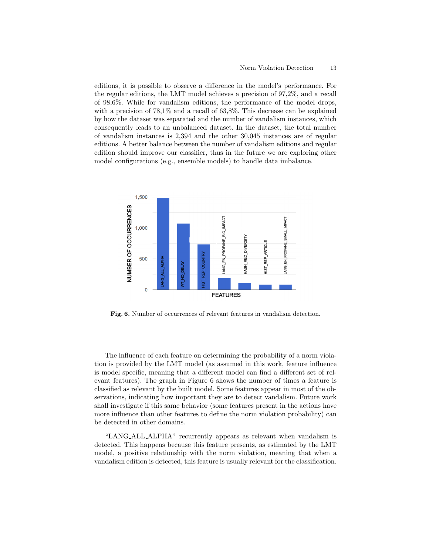editions, it is possible to observe a difference in the model's performance. For the regular editions, the LMT model achieves a precision of 97,2%, and a recall of 98,6%. While for vandalism editions, the performance of the model drops, with a precision of  $78,1\%$  and a recall of 63,8%. This decrease can be explained by how the dataset was separated and the number of vandalism instances, which consequently leads to an unbalanced dataset. In the dataset, the total number of vandalism instances is 2,394 and the other 30,045 instances are of regular editions. A better balance between the number of vandalism editions and regular edition should improve our classifier, thus in the future we are exploring other model configurations (e.g., ensemble models) to handle data imbalance.



Fig. 6. Number of occurrences of relevant features in vandalism detection.

The influence of each feature on determining the probability of a norm violation is provided by the LMT model (as assumed in this work, feature influence is model specific, meaning that a different model can find a different set of relevant features). The graph in Figure 6 shows the number of times a feature is classified as relevant by the built model. Some features appear in most of the observations, indicating how important they are to detect vandalism. Future work shall investigate if this same behavior (some features present in the actions have more influence than other features to define the norm violation probability) can be detected in other domains.

"LANG ALL ALPHA" recurrently appears as relevant when vandalism is detected. This happens because this feature presents, as estimated by the LMT model, a positive relationship with the norm violation, meaning that when a vandalism edition is detected, this feature is usually relevant for the classification.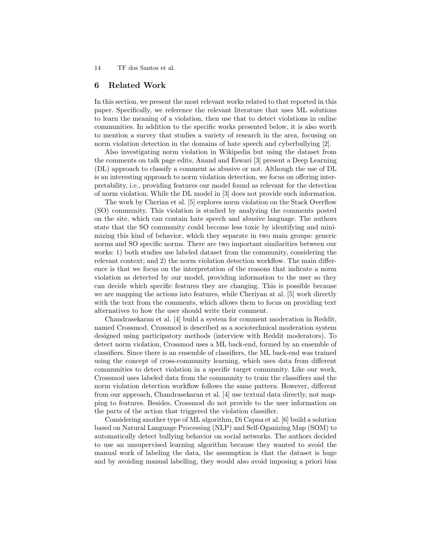### 6 Related Work

In this section, we present the most relevant works related to that reported in this paper. Specifically, we reference the relevant literature that uses ML solutions to learn the meaning of a violation, then use that to detect violations in online communities. In addition to the specific works presented below, it is also worth to mention a survey that studies a variety of research in the area, focusing on norm violation detection in the domains of hate speech and cyberbullying [2].

Also investigating norm violation in Wikipedia but using the dataset from the comments on talk page edits, Anand and Eswari [3] present a Deep Learning (DL) approach to classify a comment as abusive or not. Although the use of DL is an interesting approach to norm violation detection, we focus on offering interpretability, i.e., providing features our model found as relevant for the detection of norm violation. While the DL model in [3] does not provide such information.

The work by Cherian et al. [5] explores norm violation on the Stack Overflow (SO) community. This violation is studied by analyzing the comments posted on the site, which can contain hate speech and abusive language. The authors state that the SO community could become less toxic by identifying and minimizing this kind of behavior, which they separate in two main groups: generic norms and SO specific norms. There are two important similarities between our works: 1) both studies use labeled dataset from the community, considering the relevant context; and 2) the norm violation detection workflow. The main difference is that we focus on the interpretation of the reasons that indicate a norm violation as detected by our model, providing information to the user so they can decide which specific features they are changing. This is possible because we are mapping the actions into features, while Cheriyan at al. [5] work directly with the text from the comments, which allows them to focus on providing text alternatives to how the user should write their comment.

Chandrasekaran et al. [4] build a system for comment moderation in Reddit, named Crossmod. Crossmod is described as a sociotechnical moderation system designed using participatory methods (interview with Reddit moderators). To detect norm violation, Crossmod uses a ML back-end, formed by an ensemble of classifiers. Since there is an ensemble of classifiers, the ML back-end was trained using the concept of cross-community learning, which uses data from different communities to detect violation in a specific target community. Like our work, Crossmod uses labeled data from the community to train the classifiers and the norm violation detection workflow follows the same pattern. However, different from our approach, Chandrasekaran et al. [4] use textual data directly, not mapping to features. Besides, Crossmod do not provide to the user information on the parts of the action that triggered the violation classifier.

Considering another type of ML algorithm, Di Capua et al. [6] build a solution based on Natural Language Processing (NLP) and Self-Oganizing Map (SOM) to automatically detect bullying behavior on social networks. The authors decided to use an unsupervised learning algorithm because they wanted to avoid the manual work of labeling the data, the assumption is that the dataset is huge and by avoiding manual labelling, they would also avoid imposing a priori bias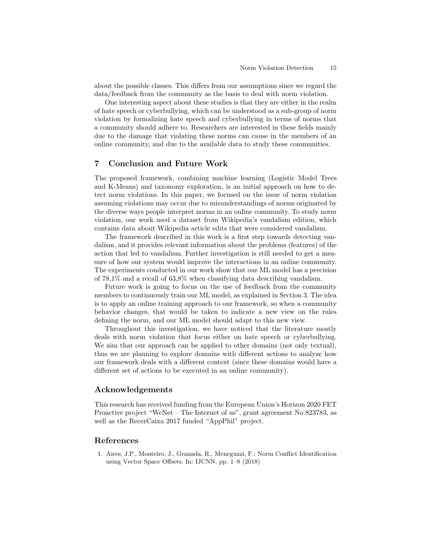about the possible classes. This differs from our assumptions since we regard the data/feedback from the community as the basis to deal with norm violation.

One interesting aspect about these studies is that they are either in the realm of hate speech or cyberbullying, which can be understood as a sub-group of norm violation by formalizing hate speech and cyberbullying in terms of norms that a community should adhere to. Researchers are interested in these fields mainly due to the damage that violating these norms can cause in the members of an online community, and due to the available data to study these communities.

## 7 Conclusion and Future Work

The proposed framework, combining machine learning (Logistic Model Trees and K-Means) and taxonomy exploration, is an initial approach on how to detect norm violations. In this paper, we focused on the issue of norm violation assuming violations may occur due to misunderstandings of norms originated by the diverse ways people interpret norms in an online community. To study norm violation, our work used a dataset from Wikipedia's vandalism edition, which contains data about Wikipedia article edits that were considered vandalism.

The framework described in this work is a first step towards detecting vandalism, and it provides relevant information about the problems (features) of the action that led to vandalism. Further investigation is still needed to get a measure of how our system would improve the interactions in an online community. The experiments conducted in our work show that our ML model has a precision of 78,1% and a recall of 63,8% when classifying data describing vandalism.

Future work is going to focus on the use of feedback from the community members to continuously train our ML model, as explained in Section 3. The idea is to apply an online training approach to our framework, so when a community behavior changes, that would be taken to indicate a new view on the rules defining the norm, and our ML model should adapt to this new view.

Throughout this investigation, we have noticed that the literature mostly deals with norm violation that focus either on hate speech or cyberbullying. We aim that our approach can be applied to other domains (not only textual), thus we are planning to explore domains with different actions to analyze how our framework deals with a different context (since these domains would have a different set of actions to be executed in an online community).

## Acknowledgements

This research has received funding from the European Union's Horizon 2020 FET Proactive project "WeNet – The Internet of us", grant agreement No 823783, as well as the RecerCaixa 2017 funded "AppPhil" project.

## References

1. Aires, J.P., Monteiro, J., Granada, R., Meneguzzi, F.: Norm Conflict Identification using Vector Space Offsets. In: IJCNN. pp. 1–8 (2018)